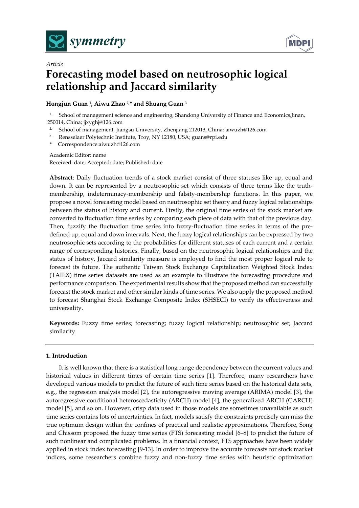

*Article*



# **Forecasting model based on neutrosophic logical relationship and Jaccard similarity**

## **Hongjun Guan <sup>1</sup> , Aiwu Zhao 2,\* and Shuang Guan <sup>3</sup>**

<sup>1.</sup> School of management science and engineering, Shandong University of Finance and Economics, Jinan, 250014, China; jjxyghj@126.com

- 2. School of management, Jiangsu University, Zhenjiang 212013, China; aiwuzh@126.com
- 3. Rensselaer Polytechnic Institute, Troy, NY 12180, USA; guans@rpi.edu
- **\*** Correspondence:aiwuzh@126.com

Academic Editor: name Received: date; Accepted: date; Published: date

**Abstract**: Daily fluctuation trends of a stock market consist of three statuses like up, equal and down. It can be represented by a neutrosophic set which consists of three terms like the truthmembership, indeterminacy-membership and falsity-membership functions. In this paper, we propose a novel forecasting model based on neutrosophic set theory and fuzzy logical relationships between the status of history and current. Firstly, the original time series of the stock market are converted to fluctuation time series by comparing each piece of data with that of the previous day. Then, fuzzify the fluctuation time series into fuzzy-fluctuation time series in terms of the predefined up, equal and down intervals. Next, the fuzzy logical relationships can be expressed by two neutrosophic sets according to the probabilities for different statuses of each current and a certain range of corresponding histories. Finally, based on the neutrosophic logical relationships and the status of history, Jaccard similarity measure is employed to find the most proper logical rule to forecast its future. The authentic Taiwan Stock Exchange Capitalization Weighted Stock Index (TAIEX) time series datasets are used as an example to illustrate the forecasting procedure and performance comparison. The experimental results show that the proposed method can successfully forecast the stock market and other similar kinds of time series. We also apply the proposed method to forecast Shanghai Stock Exchange Composite Index (SHSECI) to verify its effectiveness and universality.

**Keywords:** Fuzzy time series; forecasting; fuzzy logical relationship; neutrosophic set; Jaccard similarity

## **1. Introduction**

It is well known that there is a statistical long range dependency between the current values and historical values in different times of certain time series [1]. Therefore, many researchers have developed various models to predict the future of such time series based on the historical data sets, e.g., the regression analysis model [2], the autoregressive moving average (ARIMA) model [3], the autoregressive conditional heteroscedasticity (ARCH) model [4], the generalized ARCH (GARCH) model [5], and so on. However, crisp data used in those models are sometimes unavailable as such time series contains lots of uncertainties. In fact, models satisfy the constraints precisely can miss the true optimum design within the confines of practical and realistic approximations. Therefore, Song and Chissom proposed the fuzzy time series (FTS) forecasting model [6–8] to predict the future of such nonlinear and complicated problems. In a financial context, FTS approaches have been widely applied in stock index forecasting [9-13]. In order to improve the accurate forecasts for stock market indices, some researchers combine fuzzy and non-fuzzy time series with heuristic optimization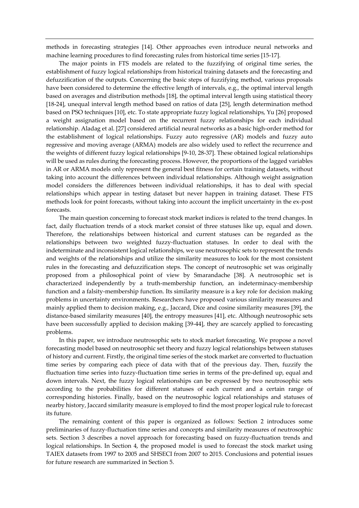methods in forecasting strategies [14]. Other approaches even introduce neural networks and machine learning procedures to find forecasting rules from historical time series [15-17].

The major points in FTS models are related to the fuzzifying of original time series, the establishment of fuzzy logical relationships from historical training datasets and the forecasting and defuzzification of the outputs. Concerning the basic steps of fuzzifying method, various proposals have been considered to determine the effective length of intervals, e.g., the optimal interval length based on averages and distribution methods [18], the optimal interval length using statistical theory [18-24], unequal interval length method based on ratios of data [25], length determination method based on PSO techniques [10], etc. To state appropriate fuzzy logical relationships, Yu [26] proposed a weight assignation model based on the recurrent fuzzy relationships for each individual relationship. Aladag et al. [27] considered artificial neural networks as a basic high-order method for the establishment of logical relationships. Fuzzy auto regressive (AR) models and fuzzy auto regressive and moving average (ARMA) models are also widely used to reflect the recurrence and the weights of different fuzzy logical relationships [9-10, 28-37]. These obtained logical relationships will be used as rules during the forecasting process. However, the proportions of the lagged variables in AR or ARMA models only represent the general best fitness for certain training datasets, without taking into account the differences between individual relationships. Although weight assignation model considers the differences between individual relationships, it has to deal with special relationships which appear in testing dataset but never happen in training dataset. These FTS methods look for point forecasts, without taking into account the implicit uncertainty in the ex-post forecasts.

The main question concerning to forecast stock market indices is related to the trend changes. In fact, daily fluctuation trends of a stock market consist of three statuses like up, equal and down. Therefore, the relationships between historical and current statuses can be regarded as the relationships between two weighted fuzzy-fluctuation statuses. In order to deal with the indeterminate and inconsistent logical relationships, we use neutrosophic sets to represent the trends and weights of the relationships and utilize the similarity measures to look for the most consistent rules in the forecasting and defuzzification steps. The concept of neutrosophic set was originally proposed from a philosophical point of view by Smarandache [38]. A neutrosophic set is characterized independently by a truth-membership function, an indeterminacy-membership function and a falsity-membership function. Its similarity measure is a key role for decision making problems in uncertainty environments. Researchers have proposed various similarity measures and mainly applied them to decision making, e.g., Jaccard, Dice and cosine similarity measures [39], the distance-based similarity measures [40], the entropy measures [41], etc. Although neutrosophic sets have been successfully applied to decision making [39-44], they are scarcely applied to forecasting problems.

In this paper, we introduce neutrosophic sets to stock market forecasting. We propose a novel forecasting model based on neutrosophic set theory and fuzzy logical relationships between statuses of history and current. Firstly, the original time series of the stock market are converted to fluctuation time series by comparing each piece of data with that of the previous day. Then, fuzzify the fluctuation time series into fuzzy-fluctuation time series in terms of the pre-defined up, equal and down intervals. Next, the fuzzy logical relationships can be expressed by two neutrosophic sets according to the probabilities for different statuses of each current and a certain range of corresponding histories. Finally, based on the neutrosophic logical relationships and statuses of nearby history, Jaccard similarity measure is employed to find the most proper logical rule to forecast its future.

The remaining content of this paper is organized as follows: Section 2 introduces some preliminaries of fuzzy-fluctuation time series and concepts and similarity measures of neutrosophic sets. Section 3 describes a novel approach for forecasting based on fuzzy-fluctuation trends and logical relationships. In Section 4, the proposed model is used to forecast the stock market using TAIEX datasets from 1997 to 2005 and SHSECI from 2007 to 2015. Conclusions and potential issues for future research are summarized in Section 5.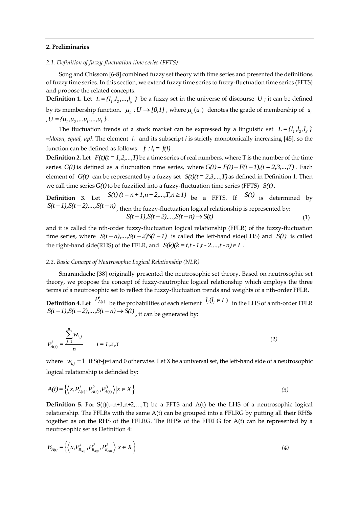#### **2. Preliminaries**

### *2.1. Definition of fuzzy-fluctuation time series (FFTS)*

Song and Chissom [6-8] combined fuzzy set theory with time series and presented the definitions of fuzzy time series. In this section, we extend fuzzy time series to fuzzy-fluctuation time series (FFTS) and propose the related concepts.

**Definition 1.** Let  $L = \{l_1, l_2, ..., l_g\}$  be a fuzzy set in the universe of discourse U; it can be defined by its membership function,  $\mu_L : U \to [0,1]$ , where  $\mu_L(u_i)$  denotes the grade of membership of  $u_i$  $,U = {u_1, u_2, ..., u_i, ..., u_l}$ 

The fluctuation trends of a stock market can be expressed by a linguistic set  $L = \{l_1, l_2, l_3\}$ *={down, equal, up}*. The element *i l* and its subscript *i* is strictly monotonically increasing [45], so the function can be defined as follows:  $f : l_i = f(i)$ .

**Definition 2.** Let  $F(t)$   $(t = 1, 2, ..., T)$  be a time series of real numbers, where T is the number of the time **Definition** 2. Let  $F(t)(t = 1, 2, ..., t)$  be a time series of real numbers, where 1 is the number of the time series.  $G(t)$  is defined as a fluctuation time series, where  $G(t) = F(t) - F(t - 1), (t = 2, 3, ..., T)$ . Each element of  $G(t)$  can be represented by a fuzzy set  $S(t)$   $(t = 2, 3, \ldots, T)$  as defined in Definition 1. Then we call time series  $G(t)$  to be fuzzified into a fuzzy-fluctuation time series (FFTS)  $S(t)$ .

**Definition 3.** Let  $S(t)$   $(t = n+1, n+2,...,T, n \ge 1)$  be a FFTS. If  $S(t)$  is determined by *S(t-1),S(t-2),...,S(t-n)*, then the fuzzy-fluctuation logical relationship is represented by:<br> $S(t-1), S(t-2),...,S(t-n) \rightarrow S(t)$ (1)

and it is called the nth-order fuzzy-fluctuation logical relationship (FFLR) of the fuzzy-fluctuation time series, where  $S(t-n),...,S(t-2)S(t-1)$  is called the left-hand side(LHS) and  $S(t)$  is called the right-hand side(RHS) of the FFLR, and  $S(k)(k = t, t - 1, t - 2, ..., t - n) \in L$ .

#### *2.2. Basic Concept of Neutrosophic Logical Relationship (NLR)*

Smarandache [38] originally presented the neutrosophic set theory. Based on neutrosophic set theory, we propose the concept of fuzzy-neutrophic logical relationship which employs the three terms of a neutrosophic set to reflect the fuzzy-fluctuation trends and weights of a nth-order FFLR.

**Definition 4.** Let  $P_{A(t)}^i$  be the probabilities of each element  $l_i(l_i \in L)$  in the LHS of a nth-order FFLR  $S(t-1), S(t-2), ..., S(t-n) \rightarrow S(t)$ , it can be generated by:

$$
P_{A(t)}^i = \frac{\sum_{j=1}^n w_{i,j}}{n} \qquad i = 1, 2, 3
$$
 (2)

where  $w_{i,j} = 1$  if S(t-j)=i and 0 otherwise. Let X be a universal set, the left-hand side of a neutrosophic logical relationship is definded by:

$$
A(t) = \left\langle \left\langle x, P_{A(t)}^1, P_{A(t)}^2, P_{A(t)}^3 \right\rangle \middle| x \in X \right\}
$$
\n(3)

**Definition 5.** For  $S(t)(t=n+1,n+2,...,T)$  be a FFTS and  $A(t)$  be the LHS of a neutrosophic logical relationship. The FFLRs with the same A(t) can be grouped into a FFLRG by putting all their RHSs together as on the RHS of the FFLRG. The RHSs of the FFRLG for A(t) can be represented by a neutrosophic set as Definition 4:

$$
B_{A(t)} = \left\{ \left\langle x, P_{B_{A(t)}}^1, P_{B_{A(t)}}^2, P_{B_{A(t)}}^3 \right\rangle | x \in X \right\}
$$
 (4)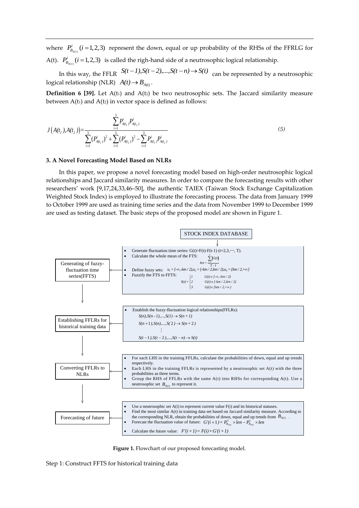where  $P_{B_{A(t)}}^i(i=1,2,3)$  represent the down, equal or up probability of the RHSs of the FFRLG for A(t).  $P_{B_{A(t)}}^i$  ( $i = 1,2,3$ ) is called the righ-hand side of a neutrosophic logical relationship.

In this way, the FFLR  $S(t-1), S(t-2), ..., S(t-n) \rightarrow S(t)$  can be represented by a neutrosophic logical relationship (NLR)  $A(t) \rightarrow B_{A(t)}$ .

**Definition 6 [39].** Let A(t1) and A(t2) be two neutrosophic sets. The Jaccard similarity measure between  $A(t_1)$  and  $A(t_2)$  in vector space is defined as follows:

$$
J(A(t_1), A(t_2)) = \frac{\sum_{i=1}^{3} P_{A(t_1)}^i P_{A(t_2)}^i}{\sum_{i=1}^{3} (P_{A(t_1)}^i)^2 + \sum_{i=1}^{3} (P_{A(t_2)}^i)^2 - \sum_{i=1}^{3} P_{A(t_1)}^i P_{A(t_2)}^i}
$$
(5)

#### **3. A Novel Forecasting Model Based on NLRs**

In this paper, we propose a novel forecasting model based on high-order neutrosophic logical relationships and Jaccard similarity measures. In order to compare the forecasting results with other researchers' work [9,17,24,33,46–50], the authentic TAIEX (Taiwan Stock Exchange Capitalization Weighted Stock Index) is employed to illustrate the forecasting process. The data from January 1999 to October 1999 are used as training time series and the data from November 1999 to December 1999 are used as testing dataset. The basic steps of the proposed model are shown in Figure 1.



**Figure 1.** Flowchart of our proposed forecasting model.

Step 1: Construct FFTS for historical training data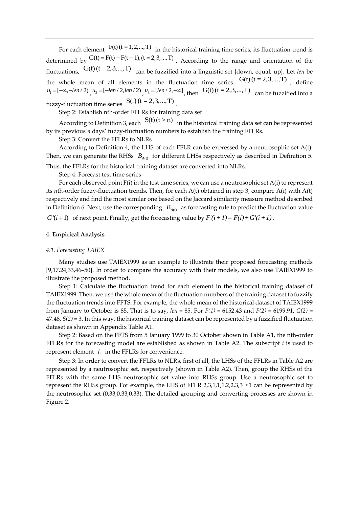For each element  $F(t)$  (t = 1, 2, ..., T) in the historical training time series, its fluctuation trend is For each element  $f(t)$  ( $t = 1, 2, ..., T$ ) in the historical training time series, its fluctuation trend is determined by  $G(t) = F(t) - F(t-1)$ ,  $(t = 2, 3, ..., T)$ . According to the range and orientation of the fluctuations,  $G(t)$  ( $t = 2, 3, ..., T$ ) can be fuzzified into a linguistic set {down, equal, up}. Let *len* be the whole mean of all elements in the fluctuation time series  $G(t)$   $(t = 2, 3, ..., T)$ , define  $u_1 = [-\infty, -len/2)$ ,  $u_2 = [-len/2, len/2)$ ,  $u_3 = [len/2, +\infty]$ , then  $G(t)$  (t = 2,3,..., T) can be fuzzified into a fuzzy-fluctuation time series  $S(t)$  (t = 2,3,..., T).

Step 2: Establish nth-order FFLRs for training data set

According to Definition 3, each  $S(t)$   $(t > n)$  in the historical training data set can be represented by its previous *n* days' fuzzy-fluctuation numbers to establish the training FFLRs.

Step 3: Convert the FFLRs to NLRs

According to Definition 4, the LHS of each FFLR can be expressed by a neutrosophic set A(t). Then, we can generate the RHSs  $B_{A(t)}$  for different LHSs respectively as described in Definition 5.

Thus, the FFLRs for the historical training dataset are converted into NLRs.

Step 4: Forecast test time series

For each observed point F(i) in the test time series, we can use a neutrosophic set A(i) to represent its *n*th-order fuzzy-fluctuation trends. Then, for each A(t) obtained in step 3, compare A(i) with A(t) respectively and find the most similar one based on the Jaccard similarity measure method described in Definition 6. Next, use the corresponding  $B_{A(t)}$  as forecasting rule to predict the fluctuation value

 $G'(i+1)$  of next point. Finally, get the forecasting value by  $F'(i+1) = F(i) + G'(i+1)$ .

## **4. Empirical Analysis**

#### *4.1. Forecasting TAIEX*

Many studies use TAIEX1999 as an example to illustrate their proposed forecasting methods [9,17,24,33,46–50]. In order to compare the accuracy with their models, we also use TAIEX1999 to illustrate the proposed method.

Step 1: Calculate the fluctuation trend for each element in the historical training dataset of TAIEX1999. Then, we use the whole mean of the fluctuation numbers of the training dataset to fuzzify the fluctuation trends into FFTS. For example, the whole mean of the historical dataset of TAIEX1999 from January to October is 85. That is to say, *len =* 85. For *F(1)* = 6152.43 and *F(2)* = 6199.91, *G(2)* = 47.48, *S(2)* = 3. In this way, the historical training dataset can be represented by a fuzzified fluctuation dataset as shown in Appendix Table A1.

Step 2: Based on the FFTS from 5 January 1999 to 30 October shown in Table A1, the nth-order FFLRs for the forecasting model are established as shown in Table A2. The subscript *i* is used to represent element  $l_i$  in the FFLRs for convenience.

Step 3: In order to convert the FFLRs to NLRs, first of all, the LHSs of the FFLRs in Table A2 are represented by a neutrosophic set, respectively (shown in Table A2). Then, group the RHSs of the FFLRs with the same LHS neutrosophic set value into RHSs group. Use a neutrosophic set to represent the RHSs group. For example, the LHS of FFLR 2,3,1,1,1,2,2,3,3→1 can be represented by the neutrosophic set (0.33,0.33,0.33). The detailed grouping and converting processes are shown in Figure 2.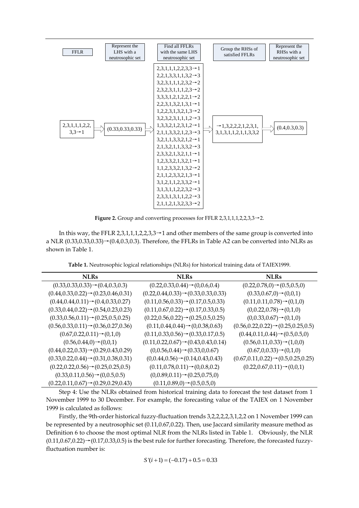

**Figure 2.** Group and converting processes for FFLR 2,3,1,1,1,2,2,3,3→2.

In this way, the FFLR 2,3,1,1,1,2,2,3,3 $\rightarrow$ 1 and other members of the same group is converted into a NLR  $(0.33,0.33,0.33)$   $\rightarrow$   $(0.4,0.3,0.3)$ . Therefore, the FFLRs in Table A2 can be converted into NLRs as shown in Table 1.

**Table 1.** Neutrosophic logical relationships (NLRs) for historical training data of TAIEX1999.

| NLRs                                                | NLRs                                                | <b>NLRs</b>                                        |
|-----------------------------------------------------|-----------------------------------------------------|----------------------------------------------------|
| $(0.33, 0.33, 0.33) \rightarrow (0.4, 0.3, 0.3)$    | $(0.22, 0.33, 0.44) \rightarrow (0, 0.6, 0.4)$      | $(0.22, 0.78, 0) \rightarrow (0.5, 0.5, 0)$        |
| $(0.44, 0.33, 0.22) \rightarrow (0.23, 0.46, 0.31)$ | $(0.22, 0.44, 0.33) \rightarrow (0.33, 0.33, 0.33)$ | $(0.33, 0.67, 0) \rightarrow (0, 0, 1)$            |
| $(0.44, 0.44, 0.11) \rightarrow (0.4, 0.33, 0.27)$  | $(0.11, 0.56, 0.33) \rightarrow (0.17, 0.5, 0.33)$  | $(0.11, 0.11, 0.78) \rightarrow (0.1, 0)$          |
| $(0.33, 0.44, 0.22) \rightarrow (0.54, 0.23, 0.23)$ | $(0.11, 0.67, 0.22) \rightarrow (0.17, 0.33, 0.5)$  | $(0,0.22,0.78) \rightarrow (0,1,0)$                |
| $(0.33, 0.56, 0.11) \rightarrow (0.25, 0.5, 0.25)$  | $(0.22, 0.56, 0.22) \rightarrow (0.25, 0.5, 0.25)$  | $(0,0.33,0.67) \rightarrow (0,1,0)$                |
| $(0.56, 0.33, 0.11) \rightarrow (0.36, 0.27, 0.36)$ | $(0.11, 0.44, 0.44) \rightarrow (0, 0.38, 0.63)$    | $(0.56, 0.22, 0.22) \rightarrow (0.25, 0.25, 0.5)$ |
| $(0.67, 0.22, 0.11) \rightarrow (0.1, 0)$           | $(0.11, 0.33, 0.56) \rightarrow (0.33, 0.17, 0.5)$  | $(0.44, 0.11, 0.44) \rightarrow (0.5, 0.5, 0)$     |
| $(0.56, 0.44, 0) \rightarrow (0, 0, 1)$             | $(0.11, 0.22, 0.67) \rightarrow (0.43, 0.43, 0.14)$ | $(0.56, 0.11, 0.33) \rightarrow (1, 0, 0)$         |
| $(0.44, 0.22, 0.33) \rightarrow (0.29, 0.43, 0.29)$ | $(0,0.56,0.44) \rightarrow (0.33,0,0.67)$           | $(0.67, 0.0.33) \rightarrow (0.1, 0)$              |
| $(0.33, 0.22, 0.44) \rightarrow (0.31, 0.38, 0.31)$ | $(0,0.44,0.56) \rightarrow (0.14,0.43,0.43)$        | $(0.67, 0.11, 0.22) \rightarrow (0.5, 0.25, 0.25)$ |
| $(0.22, 0.22, 0.56) \rightarrow (0.25, 0.25, 0.5)$  | $(0.11, 0.78, 0.11) \rightarrow (0, 0.8, 0.2)$      | $(0.22, 0.67, 0.11) \rightarrow (0, 0, 1)$         |
| $(0.33, 0.11, 0.56) \rightarrow (0.0.5, 0.5)$       | $(0,0.89,0.11) \rightarrow (0.25,0.75,0)$           |                                                    |
| $(0.22, 0.11, 0.67) \rightarrow (0.29, 0.29, 0.43)$ | $(0.11, 0.89, 0) \rightarrow (0.5, 0.5, 0)$         |                                                    |

Step 4: Use the NLRs obtained from historical training data to forecast the test dataset from 1 November 1999 to 30 December. For example, the forecasting value of the TAIEX on 1 November 1999 is calculated as follows:

Firstly, the 9th-order historical fuzzy-fluctuation trends 3,2,2,2,2,3,1,2,2 on 1 November 1999 can be represented by a neutrosophic set (0.11,0.67,0.22). Then, use Jaccard similarity measure method as Definition 6 to choose the most optimal NLR from the NLRs listed in Table 1. Obviously, the NLR  $(0.11,0.67,0.22)$   $\rightarrow$   $(0.17,0.33,0.5)$  is the best rule for further forecasting. Therefore, the forecasted fuzzyfluctuation number is:

$$
S'(i + 1) = (-0.17) + 0.5 = 0.33
$$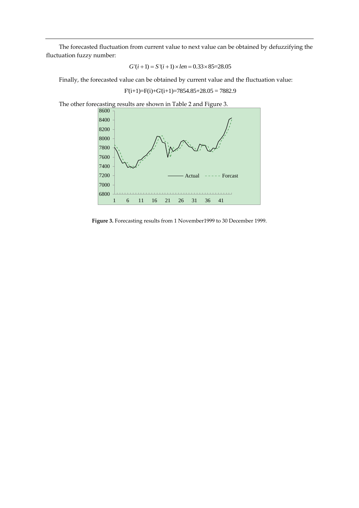The forecasted fluctuation from current value to next value can be obtained by defuzzifying the fluctuation fuzzy number:

$$
G'(i + 1) = S'(i + 1) \times len = 0.33 \times 85 = 28.05
$$

Finally, the forecasted value can be obtained by current value and the fluctuation value:

 $F(i+1)=F(i)+G'(i+1)=7854.85+28.05=7882.9$ 

The other forecasting results are shown in Table 2 and Figure 3.



**Figure 3.** Forecasting results from 1 November1999 to 30 December 1999.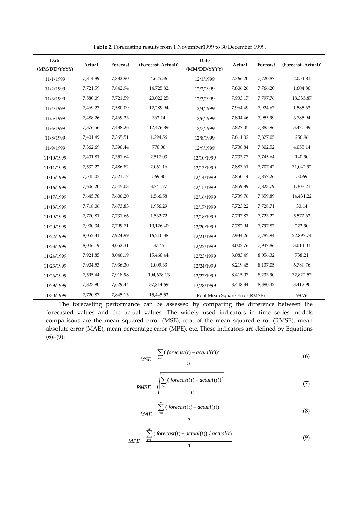| Date<br>(MM/DD/YYYY) | Actual   | Forecast | (Forecast-Actual) <sup>2</sup> | Date<br>(MM/DD/YYYY)         | Actual   | Forecast | (Forecast-Actual) <sup>2</sup> |
|----------------------|----------|----------|--------------------------------|------------------------------|----------|----------|--------------------------------|
| 11/1/1999            | 7,814.89 | 7,882.90 | 4,625.36                       | 12/1/1999                    | 7,766.20 | 7,720.87 | 2,054.81                       |
| 11/2/1999            | 7,721.59 | 7,842.94 | 14,725.82                      | 12/2/1999                    | 7,806.26 | 7,766.20 | 1,604.80                       |
| 11/3/1999            | 7,580.09 | 7,721.59 | 20,022.25                      | 12/3/1999                    | 7,933.17 | 7,797.76 | 18,335.87                      |
| 11/4/1999            | 7,469.23 | 7,580.09 | 12,289.94                      | 12/4/1999                    | 7,964.49 | 7,924.67 | 1,585.63                       |
| 11/5/1999            | 7,488.26 | 7,469.23 | 362.14                         | 12/6/1999                    | 7,894.46 | 7,955.99 | 3,785.94                       |
| 11/6/1999            | 7,376.56 | 7,488.26 | 12,476.89                      | 12/7/1999                    | 7,827.05 | 7,885.96 | 3,470.39                       |
| 11/8/1999            | 7,401.49 | 7,365.51 | 1,294.56                       | 12/8/1999                    | 7,811.02 | 7,827.05 | 256.96                         |
| 11/9/1999            | 7,362.69 | 7,390.44 | 770.06                         | 12/9/1999                    | 7,738.84 | 7,802.52 | 4,055.14                       |
| 11/10/1999           | 7,401.81 | 7,351.64 | 2,517.03                       | 12/10/1999                   | 7,733.77 | 7,745.64 | 140.90                         |
| 11/11/1999           | 7,532.22 | 7,486.82 | 2,061.16                       | 12/13/1999                   | 7,883.61 | 7,707.42 | 31,042.92                      |
| 11/15/1999           | 7,545.03 | 7,521.17 | 569.30                         | 12/14/1999                   | 7,850.14 | 7,857.26 | 50.69                          |
| 11/16/1999           | 7,606.20 | 7,545.03 | 3,741.77                       | 12/15/1999                   | 7,859.89 | 7,823.79 | 1,303.21                       |
| 11/17/1999           | 7,645.78 | 7,606.20 | 1,566.58                       | 12/16/1999                   | 7,739.76 | 7,859.89 | 14,431.22                      |
| 11/18/1999           | 7,718.06 | 7,673.83 | 1,956.29                       | 12/17/1999                   | 7,723.22 | 7,728.71 | 30.14                          |
| 11/19/1999           | 7,770.81 | 7,731.66 | 1,532.72                       | 12/18/1999                   | 7,797.87 | 7,723.22 | 5,572.62                       |
| 11/20/1999           | 7,900.34 | 7,799.71 | 10,126.40                      | 12/20/1999                   | 7,782.94 | 7,797.87 | 222.90                         |
| 11/22/1999           | 8,052.31 | 7,924.99 | 16,210.38                      | 12/21/1999                   | 7,934.26 | 7,782.94 | 22,897.74                      |
| 11/23/1999           | 8,046.19 | 8,052.31 | 37.45                          | 12/22/1999                   | 8,002.76 | 7,947.86 | 3,014.01                       |
| 11/24/1999           | 7,921.85 | 8,046.19 | 15,460.44                      | 12/23/1999                   | 8,083.49 | 8,056.32 | 738.21                         |
| 11/25/1999           | 7,904.53 | 7,936.30 | 1,009.33                       | 12/24/1999                   | 8,219.45 | 8,137.05 | 6,789.76                       |
| 11/26/1999           | 7,595.44 | 7,918.98 | 104,678.13                     | 12/27/1999                   | 8,415.07 | 8,233.90 | 32,822.57                      |
| 11/29/1999           | 7,823.90 | 7,629.44 | 37,814.69                      | 12/28/1999                   | 8,448.84 | 8,390.42 | 3,412.90                       |
| 11/30/1999           | 7,720.87 | 7,845.15 | 15,445.52                      | Root Mean Square Error(RMSE) |          |          | 98.76                          |

**Table 2.** Forecasting results from 1 November1999 to 30 December 1999.

The forecasting performance can be assessed by comparing the difference between the forecasted values and the actual values. The widely used indicators in time series models comparisons are the mean squared error (MSE), root of the mean squared error (RMSE), mean absolute error (MAE), mean percentage error (MPE), etc. These indicators are defined by Equations  $(6)-(9)$ :

$$
MSE = \frac{\sum_{t=1}^{n} (forecast(t) - actual(t))^2}{n}
$$
 (6)

$$
RMSE = \sqrt{\frac{\sum_{t=1}^{n} (forecast(t) - actual(t))^2}{n}}
$$
 (7)

$$
MAE = \frac{\sum_{t=1}^{n} |(forecast(t) - actual(t))|}{n}
$$
 (8)

$$
MPE = \frac{\sum_{t=1}^{n} |(forecast(t) - actual(t))| / actual(t)}{n}
$$
\n(9)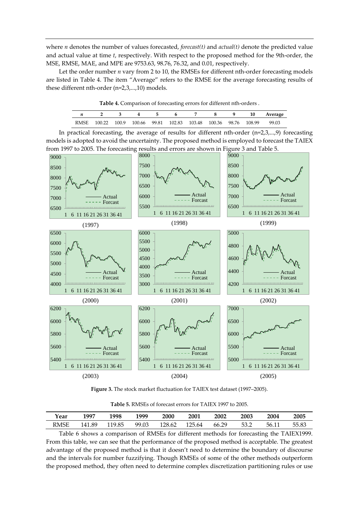where *n* denotes the number of values forecasted, *forecast(t)* and *actual(t)* denote the predicted value and actual value at time *t*, respectively. With respect to the proposed method for the 9th-order, the MSE, RMSE, MAE, and MPE are 9753.63, 98.76, 76.32, and 0.01, respectively.

Let the order number *n* vary from 2 to 10, the RMSEs for different nth-order forecasting models are listed in Table 4. The item "Average" refers to the RMSE for the average forecasting results of these different nth-order (n=2,3,...,10) models.

| <b>Table 4.</b> Comparison of forecasting critics for unicrent nur-orders. |  |  |  |  |  |  |  |                                                                        |                              |  |  |
|----------------------------------------------------------------------------|--|--|--|--|--|--|--|------------------------------------------------------------------------|------------------------------|--|--|
|                                                                            |  |  |  |  |  |  |  |                                                                        | n 2 3 4 5 6 7 8 9 10 Average |  |  |
|                                                                            |  |  |  |  |  |  |  | RMSE 100.22 100.9 100.66 99.81 102.83 103.48 100.36 98.76 108.99 99.03 |                              |  |  |

**Table 4.** Comparison of forecasting errors for different nth-orders .

In practical forecasting, the average of results for different nth-order  $(n=2,3,...,9)$  forecasting models is adopted to avoid the uncertainty. The proposed method is employed to forecast the TAIEX from 1997 to 2005. The forecasting results and errors are shown in Figure 3 and Table 5.



**Figure 3.** The stock market fluctuation for TAIEX test dataset (1997–2005).

| Year | 1997   | 1998   | 1999  | 2000   | <b>2001</b> | 2002  | 2003 | 2004  | 2005  |
|------|--------|--------|-------|--------|-------------|-------|------|-------|-------|
| RMSE | 141.89 | 119.85 | 99.03 | 128.62 | 125.64      | 66.29 | 53.2 | 56.11 | 55.83 |

**Table 5.** RMSEs of forecast errors for TAIEX 1997 to 2005.

Table 6 shows a comparison of RMSEs for different methods for forecasting the TAIEX1999. From this table, we can see that the performance of the proposed method is acceptable. The greatest advantage of the proposed method is that it doesn't need to determine the boundary of discourse and the intervals for number fuzzifying. Though RMSEs of some of the other methods outperform the proposed method, they often need to determine complex discretization partitioning rules or use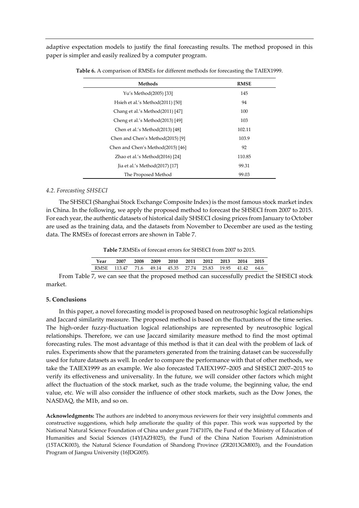adaptive expectation models to justify the final forecasting results. The method proposed in this paper is simpler and easily realized by a computer program.

| <b>Methods</b>                    | <b>RMSE</b> |
|-----------------------------------|-------------|
| Yu's Method(2005) [33]            | 145         |
| Hsieh et al.'s Method(2011) [50]  | 94          |
| Chang et al.'s Method(2011) [47]  | 100         |
| Cheng et al.'s Method(2013) [49]  | 103         |
| Chen et al.'s Method(2013) [48]   | 102.11      |
| Chen and Chen's Method(2015) [9]  | 103.9       |
| Chen and Chen's Method(2015) [46] | 92          |
| Zhao et al.'s Method(2016) [24]   | 110.85      |
| Jia et al.'s Method(2017) [17]    | 99.31       |
| The Proposed Method               | 99.03       |

| Table 6. A comparison of RMSEs for different methods for forecasting the TAIEX1999. |  |  |  |  |
|-------------------------------------------------------------------------------------|--|--|--|--|
|-------------------------------------------------------------------------------------|--|--|--|--|

#### *4.2. Forecasting SHSECI*

The SHSECI (Shanghai Stock Exchange Composite Index) is the most famous stock market index in China. In the following, we apply the proposed method to forecast the SHSECI from 2007 to 2015. For each year, the authentic datasets of historical daily SHSECI closing prices from January to October are used as the training data, and the datasets from November to December are used as the testing data. The RMSEs of forecast errors are shown in Table 7.

**Table 7.**RMSEs of forecast errors for SHSECI from 2007 to 2015.

| Year | 2007                                                      | 2008 |  | 2009 2010 2011 | 2012 | 2013 | 2014 | - 2015 |
|------|-----------------------------------------------------------|------|--|----------------|------|------|------|--------|
|      | RMSE 113.47 71.6 49.14 45.35 27.74 25.83 19.95 41.42 64.6 |      |  |                |      |      |      |        |
|      |                                                           |      |  |                |      |      |      |        |

From Table 7, we can see that the proposed method can successfully predict the SHSECI stock market.

## **5. Conclusions**

In this paper, a novel forecasting model is proposed based on neutrosophic logical relationships and Jaccard similarity measure. The proposed method is based on the fluctuations of the time series. The high-order fuzzy-fluctuation logical relationships are represented by neutrosophic logical relationships. Therefore, we can use Jaccard similarity measure method to find the most optimal forecasting rules. The most advantage of this method is that it can deal with the problem of lack of rules. Experiments show that the parameters generated from the training dataset can be successfully used for future datasets as well. In order to compare the performance with that of other methods, we take the TAIEX1999 as an example. We also forecasted TAIEX1997–2005 and SHSECI 2007–2015 to verify its effectiveness and universality. In the future, we will consider other factors which might affect the fluctuation of the stock market, such as the trade volume, the beginning value, the end value, etc. We will also consider the influence of other stock markets, such as the Dow Jones, the NASDAQ, the M1b, and so on.

**Acknowledgments:** The authors are indebted to anonymous reviewers for their very insightful comments and constructive suggestions, which help ameliorate the quality of this paper. This work was supported by the National Natural Science Foundation of China under grant 71471076, the Fund of the Ministry of Education of Humanities and Social Sciences (14YJAZH025), the Fund of the China Nation Tourism Administration (15TACK003), the Natural Science Foundation of Shandong Province (ZR2013GM003), and the Foundation Program of Jiangsu University (16JDG005).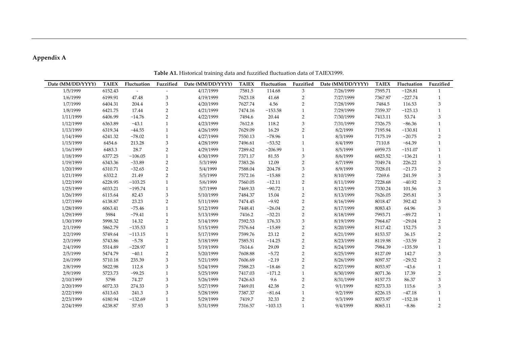# **Appendix A**

**Date (MM/DD/YYYY) TAIEX Fluctuation Fuzzified Date (MM/DD/YYYY) TAIEX Fluctuation Fuzzified Date (MM/DD/YYYY) TAIEX Fluctuation Fuzzified** 1/5/1999 6152.43 - - - 4/17/1999 7581.5 114.68 3 7/26/1999 7595.71 −128.81 1 1/6/1999 6199.91 47.48 3 4/19/1999 7623.18 41.68 2 7/27/1999 7367.97 −227.74 1 1/7/1999 6404.31 204.4 3 4/20/1999 7627.74 4.56 2 7/28/1999 7484.5 116.53 3 1/8/1999 6421.75 17.44 2 4/21/1999 7474.16 −153.58 1 7/29/1999 7359.37 −125.13 1 1/11/1999 6406.99 −14.76 2 4/22/1999 7494.6 20.44 2 7/30/1999 7413.11 53.74 3 1/12/1999 6363.89 −43.1 1 4/23/1999 7612.8 118.2 3 7/31/1999 7326.75 −86.36 1 1/13/1999 6319.34 −44.55 1 4/26/1999 7629.09 16.29 2 8/2/1999 7195.94 −130.81 1 1/14/1999 6241.32 −78.02 1 4/27/1999 7550.13 −78.96 1 8/3/1999 7175.19 −20.75 2 1/15/1999 6454.6 213.28 3 4/28/1999 7496.61 −53.52 1 8/4/1999 7110.8 −64.39 1 1/16/1999 6483.3 28.7 2 4/29/1999 7289.62 −206.99 1 8/5/1999 6959.73 −151.07 1 1/18/1999 6377.25 −106.05 1 4/30/1999 7371.17 81.55 3 8/6/1999 6823.52 −136.21 1 1/19/1999 6343.36 −33.89 2 5/3/1999 7383.26 12.09 2 8/7/1999 7049.74 226.22 3 1/20/1999 6310.71 −32.65 2 5/4/1999 7588.04 204.78 3 8/9/1999 7028.01 −21.73 2 1/21/1999 6332.2 21.49 2 5/5/1999 7572.16 −15.88 2 8/10/1999 7269.6 241.59 3 1/22/1999 6228.95 −103.25 1 5/6/1999 7560.05 −12.11 2 8/11/1999 7228.68 −40.92 2 1/25/1999 6033.21 −195.74 1 5/7/1999 7469.33 −90.72 1 8/12/1999 7330.24 101.56 3 1/26/1999 6115.64 82.43 3 5/10/1999 7484.37 15.04 2 8/13/1999 7626.05 295.81 3 1/27/1999 6138.87 23.23 2 5/11/1999 7474.45 −9.92 2 8/16/1999 8018.47 392.42 3 1/28/1999 6063.41 −75.46 1 5/12/1999 7448.41 −26.04 2 8/17/1999 8083.43 64.96 3 1/29/1999 5984 −79.41 1 5/13/1999 7416.2 −32.21 2 8/18/1999 7993.71 −89.72 1 1/30/1999 5998.32 14.32 2 5/14/1999 7592.53 176.33 3 8/19/1999 7964.67 −29.04 2 2/1/1999 5862.79 −135.53 1 5/15/1999 7576.64 −15.89 2 8/20/1999 8117.42 152.75 3 2/2/1999 5749.64 −113.15 1 5/17/1999 7599.76 23.12 2 8/21/1999 8153.57 36.15 2 2/3/1999 5743.86 −5.78 2 5/18/1999 7585.51 −14.25 2 8/23/1999 8119.98 −33.59 2 2/4/1999 5514.89 −228.97 1 5/19/1999 7614.6 29.09 2 8/24/1999 7984.39 −135.59 1 2/5/1999 5474.79 −40.1 2 5/20/1999 7608.88 −5.72 2 8/25/1999 8127.09 142.7 3 2/6/1999 5710.18 235.39 3 5/21/1999 7606.69 −2.19 2 8/26/1999 8097.57 −29.52 2 2/8/1999 5822.98 112.8 3 5/24/1999 7588.23 −18.46 2 8/27/1999 8053.97 −43.6 1 2/9/1999 5723.73 −99.25 1 5/25/1999 7417.03 −171.2 1 8/30/1999 8071.36 17.39 2 2/10/1999 5798 74.27 3 5/26/1999 7426.63 9.6 2 8/31/1999 8157.73 86.37 3 2/20/1999 6072.33 274.33 3 5/27/1999 7469.01 42.38 2 9/1/1999 8273.33 115.6 3 2/22/1999 6313.63 241.3 3 5/28/1999 7387.37 −81.64 1 9/2/1999 8226.15 −47.18 1 2/23/1999 6180.94 −132.69 1 5/29/1999 7419.7 32.33 2 9/3/1999 8073.97 −152.18 1 2/24/1999 6238.87 57.93 3 5/31/1999 7316.57 −103.13 1 9/4/1999 8065.11 −8.86 2

**Table A1.** Historical training data and fuzzified fluctuation data of TAIEX1999.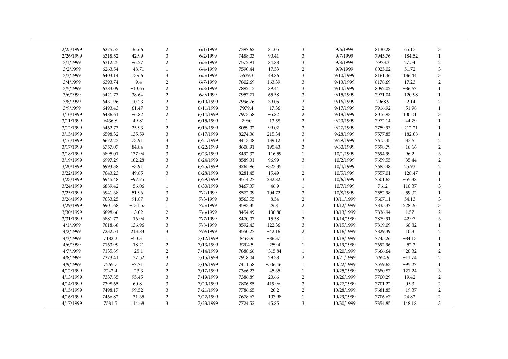| 2/25/1999 | 6275.53 | 36.66     | $\overline{2}$            | 6/1/1999  | 7397.62 | 81.05     | 3                         | 9/6/1999   | 8130.28 | 65.17     | 3              |  |
|-----------|---------|-----------|---------------------------|-----------|---------|-----------|---------------------------|------------|---------|-----------|----------------|--|
| 2/26/1999 | 6318.52 | 42.99     | 3                         | 6/2/1999  | 7488.03 | 90.41     | 3                         | 9/7/1999   | 7945.76 | $-184.52$ | $\mathbf{1}$   |  |
| 3/1/1999  | 6312.25 | $-6.27$   | $\overline{2}$            | 6/3/1999  | 7572.91 | 84.88     | 3                         | 9/8/1999   | 7973.3  | 27.54     | $\overline{2}$ |  |
| 3/2/1999  | 6263.54 | $-48.71$  | $\mathbf{1}$              | 6/4/1999  | 7590.44 | 17.53     | $\overline{c}$            | 9/9/1999   | 8025.02 | 51.72     | $\,$ 3 $\,$    |  |
| 3/3/1999  | 6403.14 | 139.6     | $\ensuremath{\mathsf{3}}$ | 6/5/1999  | 7639.3  | 48.86     | $\ensuremath{\mathsf{3}}$ | 9/10/1999  | 8161.46 | 136.44    | 3              |  |
| 3/4/1999  | 6393.74 | $-9.4$    | $\overline{2}$            | 6/7/1999  | 7802.69 | 163.39    | 3                         | 9/13/1999  | 8178.69 | 17.23     | $\overline{2}$ |  |
| 3/5/1999  | 6383.09 | $-10.65$  | $\overline{2}$            | 6/8/1999  | 7892.13 | 89.44     | 3                         | 9/14/1999  | 8092.02 | $-86.67$  | 1              |  |
| 3/6/1999  | 6421.73 | 38.64     | $\overline{2}$            | 6/9/1999  | 7957.71 | 65.58     | 3                         | 9/15/1999  | 7971.04 | $-120.98$ | $\mathbf{1}$   |  |
| 3/8/1999  | 6431.96 | 10.23     | $\overline{2}$            | 6/10/1999 | 7996.76 | 39.05     | $\overline{2}$            | 9/16/1999  | 7968.9  | $-2.14$   | $\overline{2}$ |  |
| 3/9/1999  | 6493.43 | 61.47     | 3                         | 6/11/1999 | 7979.4  | $-17.36$  | $\sqrt{2}$                | 9/17/1999  | 7916.92 | $-51.98$  | $\mathbf{1}$   |  |
| 3/10/1999 | 6486.61 | $-6.82$   | $\sqrt{2}$                | 6/14/1999 | 7973.58 | $-5.82$   | $\sqrt{2}$                | 9/18/1999  | 8016.93 | 100.01    | 3              |  |
| 3/11/1999 | 6436.8  | $-49.81$  | $\mathbf{1}$              | 6/15/1999 | 7960    | $-13.58$  | $\overline{2}$            | 9/20/1999  | 7972.14 | $-44.79$  | $\mathbf{1}$   |  |
| 3/12/1999 | 6462.73 | 25.93     | $\sqrt{2}$                | 6/16/1999 | 8059.02 | 99.02     | 3                         | 9/27/1999  | 7759.93 | $-212.21$ | $\mathbf{1}$   |  |
| 3/15/1999 | 6598.32 | 135.59    | 3                         | 6/17/1999 | 8274.36 | 215.34    | 3                         | 9/28/1999  | 7577.85 | $-182.08$ | $\mathbf{1}$   |  |
| 3/16/1999 | 6672.23 | 73.91     | $\ensuremath{\mathsf{3}}$ | 6/21/1999 | 8413.48 | 139.12    | 3                         | 9/29/1999  | 7615.45 | 37.6      | $\overline{c}$ |  |
| 3/17/1999 | 6757.07 | 84.84     | $\,3$                     | 6/22/1999 | 8608.91 | 195.43    | 3                         | 9/30/1999  | 7598.79 | $-16.66$  | $\overline{2}$ |  |
| 3/18/1999 | 6895.01 | 137.94    | $\ensuremath{\mathsf{3}}$ | 6/23/1999 | 8492.32 | $-116.59$ | $\mathbf{1}$              | 10/1/1999  | 7694.99 | 96.2      | 3              |  |
| 3/19/1999 | 6997.29 | 102.28    | $\ensuremath{\mathsf{3}}$ | 6/24/1999 | 8589.31 | 96.99     | 3                         | 10/2/1999  | 7659.55 | $-35.44$  | $\overline{2}$ |  |
| 3/20/1999 | 6993.38 | $-3.91$   | $\overline{2}$            | 6/25/1999 | 8265.96 | $-323.35$ | $\mathbf{1}$              | 10/4/1999  | 7685.48 | 25.93     | $\overline{2}$ |  |
| 3/22/1999 | 7043.23 | 49.85     | 3                         | 6/28/1999 | 8281.45 | 15.49     | $\overline{2}$            | 10/5/1999  | 7557.01 | $-128.47$ | $\mathbf{1}$   |  |
| 3/23/1999 | 6945.48 | $-97.75$  | $\mathbf{1}$              | 6/29/1999 | 8514.27 | 232.82    | $\mathfrak{Z}$            | 10/6/1999  | 7501.63 | $-55.38$  | $\mathbf{1}$   |  |
| 3/24/1999 | 6889.42 | $-56.06$  | $\mathbf{1}$              | 6/30/1999 | 8467.37 | $-46.9$   | $\mathbf{1}$              | 10/7/1999  | 7612    | 110.37    | 3              |  |
| 3/25/1999 | 6941.38 | 51.96     | $\ensuremath{\mathsf{3}}$ | 7/2/1999  | 8572.09 | 104.72    | 3                         | 10/8/1999  | 7552.98 | $-59.02$  | $\mathbf{1}$   |  |
| 3/26/1999 | 7033.25 | 91.87     | 3                         | 7/3/1999  | 8563.55 | $-8.54$   | $\overline{2}$            | 10/11/1999 | 7607.11 | 54.13     | 3              |  |
| 3/29/1999 | 6901.68 | $-131.57$ | $\mathbf{1}$              | 7/5/1999  | 8593.35 | 29.8      | $\overline{c}$            | 10/12/1999 | 7835.37 | 228.26    | 3              |  |
| 3/30/1999 | 6898.66 | $-3.02$   | $\overline{2}$            | 7/6/1999  | 8454.49 | $-138.86$ | $\mathbf{1}$              | 10/13/1999 | 7836.94 | 1.57      | $\overline{2}$ |  |
| 3/31/1999 | 6881.72 | $-16.94$  | $\overline{c}$            | 7/7/1999  | 8470.07 | 15.58     | $\sqrt{2}$                | 10/14/1999 | 7879.91 | 42.97     | $\,$ 3 $\,$    |  |
| 4/1/1999  | 7018.68 | 136.96    | $\ensuremath{\mathsf{3}}$ | 7/8/1999  | 8592.43 | 122.36    | 3                         | 10/15/1999 | 7819.09 | $-60.82$  | $\mathbf{1}$   |  |
| 4/2/1999  | 7232.51 | 213.83    | 3                         | 7/9/1999  | 8550.27 | $-42.16$  | $\overline{2}$            | 10/16/1999 | 7829.39 | 10.3      | $\overline{2}$ |  |
| 4/3/1999  | 7182.2  | $-50.31$  | $\mathbf{1}$              | 7/12/1999 | 8463.9  | $-86.37$  | $\mathbf{1}$              | 10/18/1999 | 7745.26 | $-84.13$  | $\mathbf{1}$   |  |
| 4/6/1999  | 7163.99 | $-18.21$  | $\overline{2}$            | 7/13/1999 | 8204.5  | $-259.4$  | $\mathbf{1}$              | 10/19/1999 | 7692.96 | $-52.3$   | $\mathbf{1}$   |  |
| 4/7/1999  | 7135.89 | $-28.1$   | $\overline{2}$            | 7/14/1999 | 7888.66 | $-315.84$ | $\mathbf{1}$              | 10/20/1999 | 7666.64 | $-26.32$  | $\overline{2}$ |  |
| 4/8/1999  | 7273.41 | 137.52    | $\ensuremath{\mathsf{3}}$ | 7/15/1999 | 7918.04 | 29.38     | $\sqrt{2}$                | 10/21/1999 | 7654.9  | $-11.74$  | $\overline{2}$ |  |
| 4/9/1999  | 7265.7  | $-7.71$   | $\sqrt{2}$                | 7/16/1999 | 7411.58 | $-506.46$ | $\mathbf{1}$              | 10/22/1999 | 7559.63 | $-95.27$  | $\mathbf{1}$   |  |
| 4/12/1999 | 7242.4  | $-23.3$   | $\overline{2}$            | 7/17/1999 | 7366.23 | $-45.35$  | $\mathbf{1}$              | 10/25/1999 | 7680.87 | 121.24    | 3              |  |
| 4/13/1999 | 7337.85 | 95.45     | 3                         | 7/19/1999 | 7386.89 | 20.66     | $\overline{2}$            | 10/26/1999 | 7700.29 | 19.42     | $\overline{2}$ |  |
| 4/14/1999 | 7398.65 | 60.8      | 3                         | 7/20/1999 | 7806.85 | 419.96    | 3                         | 10/27/1999 | 7701.22 | 0.93      | $\overline{2}$ |  |
| 4/15/1999 | 7498.17 | 99.52     | 3                         | 7/21/1999 | 7786.65 | $-20.2$   | $\overline{2}$            | 10/28/1999 | 7681.85 | $-19.37$  | $\overline{2}$ |  |
| 4/16/1999 | 7466.82 | $-31.35$  | $\overline{2}$            | 7/22/1999 | 7678.67 | $-107.98$ | $\mathbf{1}$              | 10/29/1999 | 7706.67 | 24.82     | $\overline{2}$ |  |
| 4/17/1999 | 7581.5  | 114.68    | 3                         | 7/23/1999 | 7724.52 | 45.85     | 3                         | 10/30/1999 | 7854.85 | 148.18    | 3              |  |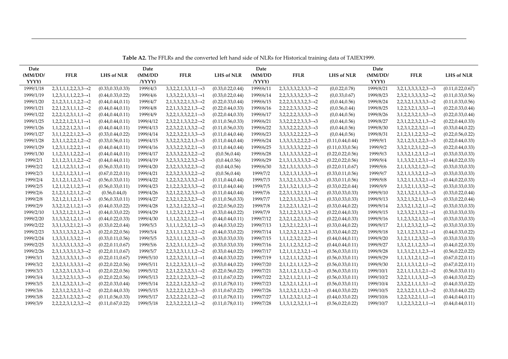| Date      |                                           |                    | Date      |                                           |                    | Date      |                                           |                    | Date      |                                           |                    |
|-----------|-------------------------------------------|--------------------|-----------|-------------------------------------------|--------------------|-----------|-------------------------------------------|--------------------|-----------|-------------------------------------------|--------------------|
| (MM/DD/   | <b>FFLR</b>                               | <b>LHS of NLR</b>  | (MM)DD    | <b>FFLR</b>                               | <b>LHS of NLR</b>  | (MM)DD    | <b>FFLR</b>                               | <b>LHS of NLR</b>  | (MM/DD)   | <b>FFLR</b>                               | <b>LHS of NLR</b>  |
| YYYY)     |                                           |                    | /YYY)     |                                           |                    | /YYY)     |                                           |                    | YYYY)     |                                           |                    |
| 1999/1/18 | $2,3,1,1,1,2,2,3,3 \rightarrow 2$         | (0.33, 0.33, 0.33) | 1999/4/3  | $3,3,2,2,1,3,3,1,1 \rightarrow 3$         | (0.33, 0.22, 0.44) | 1999/6/11 | $2,3,3,3,3,2,3,3,3 \rightarrow 2$         | (0,0.22,0.78)      | 1999/8/21 | $3,2,1,3,3,3,3,2,3 \rightarrow 3$         | (0.11, 0.22, 0.67) |
| 1999/1/19 | $1,2,3,1,1,1,2,2,3 \rightarrow 1$         | (0.44, 0.33, 0.22) | 1999/4/6  | $1,3,3,2,2,1,3,3,1 \rightarrow 1$         | (0.33, 0.22, 0.44) | 1999/6/14 | $2,2,3,3,3,3,2,3,3 \rightarrow 2$         | (0,0.33,0.67)      | 1999/8/23 | $2,3,2,1,3,3,3,3,2 \rightarrow 2$         | (0.11, 0.33, 0.56) |
| 1999/1/20 | $2,1,2,3,1,1,1,2,2 \rightarrow 2$         | (0.44, 0.44, 0.11) | 1999/4/7  | $2,1,3,3,2,2,1,3,3 \rightarrow 2$         | (0.22, 0.33, 0.44) | 1999/6/15 | $2,2,2,3,3,3,3,2,3 \rightarrow 2$         | (0,0.44,0.56)      | 1999/8/24 | $2,2,3,2,1,3,3,3,3 \rightarrow 2$         | (0.11, 0.33, 0.56) |
| 1999/1/21 | $2,2,1,2,3,1,1,1,2 \rightarrow 2$         | (0.44, 0.44, 0.11) | 1999/4/8  | $2,2,1,3,3,2,2,1,3 \rightarrow 2$         | (0.22, 0.44, 0.33) | 1999/6/16 | $2,2,2,2,3,3,3,3,2 \rightarrow 2$         | (0,0.56,0.44)      | 1999/8/25 | $1,2,2,3,2,1,3,3,3 \rightarrow 1$         | (0.22, 0.33, 0.44) |
| 1999/1/22 | $2,2,2,1,2,3,1,1,1 \rightarrow 2$         | (0.44, 0.44, 0.11) | 1999/4/9  | $3,2,2,1,3,3,2,2,1 \rightarrow 3$         | (0.22, 0.44, 0.33) | 1999/6/17 | $3,2,2,2,2,3,3,3,3 \rightarrow 3$         | (0,0.44,0.56)      | 1999/8/26 | $3,1,2,2,3,2,1,3,3 \rightarrow 3$         | (0.22, 0.33, 0.44) |
| 1999/1/25 | $1,2,2,2,1,2,3,1,1 \rightarrow 1$         | (0.44, 0.44, 0.11) | 1999/4/12 | $2,3,2,2,1,3,3,2,2 \rightarrow 2$         | (0.11, 0.56, 0.33) | 1999/6/21 | $3,3,2,2,2,2,3,3,3 \rightarrow 3$         | (0,0.44,0.56)      | 1999/8/27 | $2,3,1,2,2,3,2,1,3 \rightarrow 2$         | (0.22, 0.44, 0.33) |
| 1999/1/26 | $1, 1, 2, 2, 2, 1, 2, 3, 1 \rightarrow 1$ | (0.44, 0.44, 0.11) | 1999/4/13 | $2,2,3,2,2,1,3,3,2 \rightarrow 2$         | (0.11, 0.56, 0.33) | 1999/6/22 | $3,3,3,2,2,2,2,3,3 \rightarrow 3$         | (0,0.44,0.56)      | 1999/8/30 | $1,2,3,1,2,2,3,2,1 \rightarrow 1$         | (0.33, 0.44, 0.22) |
| 1999/1/27 | $3,1,1,2,2,2,1,2,3 \rightarrow 3$         | (0.33, 0.44, 0.22) | 1999/4/14 | $3,2,2,3,2,2,1,3,3 \rightarrow 3$         | (0.11, 0.44, 0.44) | 1999/6/23 | $3,3,3,3,2,2,2,2,3 \rightarrow 3$         | (0,0.44,0.56)      | 1999/8/31 | $2,1,2,3,1,2,2,3,2 \rightarrow 2$         | (0.22, 0.56, 0.22) |
| 1999/1/28 | $2,3,1,1,2,2,2,1,2 \rightarrow 2$         | (0.33, 0.56, 0.11) | 1999/4/15 | $3,3,2,2,3,2,2,1,3 \rightarrow 3$         | (0.11, 0.44, 0.44) | 1999/6/24 | $1,3,3,3,3,2,2,2,2 \rightarrow 1$         | (0.11, 0.44, 0.44) | 1999/9/1  | $3,2,1,2,3,1,2,2,3 \rightarrow 3$         | (0.22, 0.44, 0.33) |
| 1999/1/29 | $1,2,3,1,1,2,2,2,1 \rightarrow 1$         | (0.44, 0.44, 0.11) | 1999/4/16 | $3,3,3,2,2,3,2,2,1 \rightarrow 3$         | (0.11, 0.44, 0.44) | 1999/6/25 | $3,1,3,3,3,3,2,2,2 \rightarrow 3$         | (0.11, 0.33, 0.56) | 1999/9/2  | $3,3,2,1,2,3,1,2,2 \rightarrow 3$         | (0.22, 0.44, 0.33) |
| 1999/1/30 | $1, 1, 2, 3, 1, 1, 2, 2, 2 \rightarrow 1$ | (0.44, 0.44, 0.11) | 1999/4/17 | $2,3,3,3,2,2,3,2,2 \rightarrow 2$         | (0,0.56,0.44)      | 1999/6/28 | $1,3,1,3,3,3,3,2,2 \rightarrow 1$         | (0.22, 0.22, 0.56) | 1999/9/3  | $1,3,3,2,1,2,3,1,2 \rightarrow 1$         | (0.33, 0.33, 0.33) |
| 1999/2/1  | $2,1,1,2,3,1,1,2,2 \rightarrow 2$         | (0.44, 0.44, 0.11) | 1999/4/19 | $3,2,3,3,3,2,2,3,2 \rightarrow 3$         | (0,0.44,0.56)      | 1999/6/29 | $2,1,3,1,3,3,3,3,2 \rightarrow 2$         | (0.22, 0.22, 0.56) | 1999/9/4  | $1, 1, 3, 3, 2, 1, 2, 3, 1 \rightarrow 1$ | (0.44, 0.22, 0.33) |
| 1999/2/2  | $1,2,1,1,2,3,1,1,2 \rightarrow 1$         | (0.56, 0.33, 0.11) | 1999/4/20 | $2,3,2,3,3,3,2,2,3 \rightarrow 2$         | (0,0.44,0.56)      | 1999/6/30 | $3,2,1,3,1,3,3,3,3 \rightarrow 3$         | (0.22, 0.11, 0.67) | 1999/9/6  | $2,1,1,3,3,2,1,2,3 \rightarrow 2$         | (0.33, 0.33, 0.33) |
| 1999/2/3  | $1, 1, 2, 1, 1, 2, 3, 1, 1 \rightarrow 1$ | (0.67, 0.22, 0.11) | 1999/4/21 | $2,2,3,2,3,3,3,2,2 \rightarrow 2$         | (0,0.56,0.44)      | 1999/7/2  | $1,3,2,1,3,1,3,3,3 \rightarrow 1$         | (0.33, 0.11, 0.56) | 1999/9/7  | $3,2,1,1,3,3,2,1,2 \rightarrow 3$         | (0.33, 0.33, 0.33) |
| 1999/2/4  | $2,1,1,2,1,1,2,3,1 \rightarrow 2$         | (0.56, 0.33, 0.11) | 1999/4/22 | $1,2,2,3,2,3,3,3,2 \rightarrow 1$         | (0.11, 0.44, 0.44) | 1999/7/3  | $3,1,3,2,1,3,1,3,3 \rightarrow 3$         | (0.33, 0.11, 0.56) | 1999/9/8  | $1,3,2,1,1,3,3,2,1 \rightarrow 1$         | (0.44, 0.22, 0.33) |
| 1999/2/5  | $1,2,1,1,2,1,1,2,3 \rightarrow 1$         | (0.56, 0.33, 0.11) | 1999/4/23 | $2,1,2,2,3,2,3,3,3 \rightarrow 2$         | (0.11, 0.44, 0.44) | 1999/7/5  | $2,3,1,3,2,1,3,1,3 \rightarrow 2$         | (0.33, 0.22, 0.44) | 1999/9/9  | $2,1,3,2,1,1,3,3,2 \rightarrow 2$         | (0.33, 0.33, 0.33) |
| 1999/2/6  | $2,1,2,1,1,2,1,1,2 \rightarrow 2$         | (0.56, 0.44, 0)    | 1999/4/26 | $3,2,1,2,2,3,2,3,3 \rightarrow 3$         | (0.11, 0.44, 0.44) | 1999/7/6  | $2,2,3,1,3,2,1,3,1 \rightarrow 2$         | (0.33, 0.33, 0.33) | 1999/9/10 | $3,2,1,3,2,1,1,3,3 \rightarrow 3$         | (0.33, 0.22, 0.44) |
| 1999/2/8  | $3,2,1,2,1,1,2,1,1 \rightarrow 3$         | (0.56, 0.33, 0.11) | 1999/4/27 | $2,3,2,1,2,2,3,2,3 \rightarrow 2$         | (0.11, 0.56, 0.33) | 1999/7/7  | $1,2,2,3,1,3,2,1,3 \rightarrow 1$         | (0.33, 0.33, 0.33) | 1999/9/13 | $3,3,2,1,3,2,1,1,3 \rightarrow 3$         | (0.33, 0.22, 0.44) |
| 1999/2/9  | $3,3,2,1,2,1,1,2,1 \rightarrow 3$         | (0.44, 0.33, 0.22) | 1999/4/28 | $1,2,3,2,1,2,2,3,2 \rightarrow 1$         | (0.22, 0.56, 0.22) | 1999/7/8  | $2,1,2,2,3,1,3,2,1 \rightarrow 2$         | (0.33, 0.44, 0.22) | 1999/9/14 | $2,3,3,2,1,3,2,1,1 \rightarrow 2$         | (0.33, 0.33, 0.33) |
| 1999/2/10 | $1,3,3,2,1,2,1,1,2 \rightarrow 1$         | (0.44, 0.33, 0.22) | 1999/4/29 | $1, 1, 2, 3, 2, 1, 2, 2, 3 \rightarrow 1$ | (0.33, 0.44, 0.22) | 1999/7/9  | $3,2,1,2,2,3,1,3,2 \rightarrow 3$         | (0.22, 0.44, 0.33) | 1999/9/15 | $1,2,3,3,2,1,3,2,1 \rightarrow 1$         | (0.33, 0.33, 0.33) |
| 1999/2/20 | $3,1,3,3,2,1,2,1,1 \rightarrow 3$         | (0.44, 0.22, 0.33) | 1999/4/30 | $1,1,1,2,3,2,1,2,2 \rightarrow 1$         | (0.44, 0.44, 0.11) | 1999/7/12 | $2,3,2,1,2,2,3,1,3 \rightarrow 2$         | (0.22, 0.44, 0.33) | 1999/9/16 | $1, 1, 2, 3, 3, 2, 1, 3, 2 \rightarrow 1$ | (0.33, 0.33, 0.33) |
| 1999/2/22 | $3,3,1,3,3,2,1,2,1 \rightarrow 3$         | (0.33, 0.22, 0.44) | 1999/5/3  | $3,1,1,1,2,3,2,1,2 \rightarrow 3$         | (0.44, 0.33, 0.22) | 1999/7/13 | $1,2,3,2,1,2,2,3,1 \rightarrow 1$         | (0.33, 0.44, 0.22) | 1999/9/17 | $2,1,1,2,3,3,2,1,3 \rightarrow 2$         | (0.33, 0.33, 0.33) |
| 1999/2/23 | $3,3,3,1,3,3,2,1,2 \rightarrow 3$         | (0.22, 0.22, 0.56) | 1999/5/4  | $2,3,1,1,1,2,3,2,1 \rightarrow 2$         | (0.44, 0.33, 0.22) | 1999/7/14 | $1, 1, 2, 3, 2, 1, 2, 2, 3 \rightarrow 1$ | (0.33, 0.44, 0.22) | 1999/9/18 | $1,2,1,1,2,3,3,2,1 \rightarrow 1$         | (0.44, 0.33, 0.22) |
| 1999/2/24 | $1,3,3,3,1,3,3,2,1 \rightarrow 1$         | (0.33, 0.11, 0.56) | 1999/5/5  | $3,2,3,1,1,1,2,3,2 \rightarrow 3$         | (0.33, 0.33, 0.33) | 1999/7/15 | $1,1,1,2,3,2,1,2,2 \rightarrow 1$         | (0.44, 0.44, 0.11) | 1999/9/20 | $3,1,2,1,1,2,3,3,2 \rightarrow 3$         | (0.33, 0.33, 0.33) |
| 1999/2/25 | $3,1,3,3,3,1,3,3,2 \rightarrow 3$         | (0.22, 0.11, 0.67) | 1999/5/6  | $2,3,2,3,1,1,1,2,3 \rightarrow 2$         | (0.33, 0.33, 0.33) | 1999/7/16 | $2,1,1,1,2,3,2,1,2 \rightarrow 2$         | (0.44, 0.44, 0.11) | 1999/9/27 | $1,3,1,2,1,1,2,3,3 \rightarrow 1$         | (0.44, 0.22, 0.33) |
| 1999/2/26 | $2,3,1,3,3,3,1,3,3 \rightarrow 2$         | (0.22, 0.11, 0.67) | 1999/5/7  | $2,2,3,2,3,1,1,1,2 \rightarrow 2$         | (0.33, 0.44, 0.22) | 1999/7/17 | $1,2,1,1,1,2,3,2,1 \rightarrow 1$         | (0.56, 0.33, 0.11) | 1999/9/28 | $1,1,3,1,2,1,1,2,3 \rightarrow 1$         | (0.56, 0.22, 0.22) |
| 1999/3/1  | $3,2,3,1,3,3,3,1,3 \rightarrow 3$         | (0.22, 0.11, 0.67) | 1999/5/10 | $1,2,2,3,2,3,1,1,1 \rightarrow 1$         | (0.44, 0.33, 0.22) | 1999/7/19 | $1, 1, 2, 1, 1, 1, 2, 3, 2 \rightarrow 1$ | (0.56, 0.33, 0.11) | 1999/9/29 | $1,1,1,3,1,2,1,1,2 \rightarrow 1$         | (0.67, 0.22, 0.11) |
| 1999/3/2  | $2,3,2,3,1,3,3,3,1 \rightarrow 2$         | (0.22, 0.22, 0.56) | 1999/5/11 | $2,1,2,2,3,2,3,1,1 \rightarrow 2$         | (0.33, 0.44, 0.22) | 1999/7/20 | $2,1,1,2,1,1,1,2,3 \rightarrow 2$         | (0.56, 0.33, 0.11) | 1999/9/30 | $2,1,1,1,3,1,2,1,1 \rightarrow 2$         | (0.67, 0.22, 0.11) |
| 1999/3/3  | $1,2,3,2,3,1,3,3,3 \rightarrow 1$         | (0.22, 0.22, 0.56) | 1999/5/12 | $2,2,1,2,2,3,2,3,1 \rightarrow 2$         | (0.22, 0.56, 0.22) | 1999/7/21 | $3,2,1,1,2,1,1,1,2 \rightarrow 3$         | (0.56, 0.33, 0.11) | 1999/10/1 | $2,2,1,1,1,3,1,2,1 \rightarrow 2$         | (0.56, 0.33, 0.11) |
| 1999/3/4  | $3,1,2,3,2,3,1,3,3 \rightarrow 3$         | (0.22, 0.22, 0.56) | 1999/5/13 | $2,2,2,1,2,2,3,2,3 \rightarrow 2$         | (0.11, 0.67, 0.22) | 1999/7/22 | $2,3,2,1,1,2,1,1,1 \rightarrow 2$         | (0.56, 0.33, 0.11) | 1999/10/2 | $3,2,2,1,1,1,3,1,2 \rightarrow 3$         | (0.44, 0.33, 0.22) |
| 1999/3/5  | $2,3,1,2,3,2,3,1,3 \rightarrow 2$         | (0.22, 0.33, 0.44) | 1999/5/14 | $2,2,2,2,1,2,2,3,2 \rightarrow 2$         | (0.11, 0.78, 0.11) | 1999/7/23 | $1,2,3,2,1,1,2,1,1 \rightarrow 1$         | (0.56, 0.33, 0.11) | 1999/10/4 | $2,3,2,2,1,1,1,3,1 \rightarrow 2$         | (0.44, 0.33, 0.22) |
| 1999/3/6  | $2,2,3,1,2,3,2,3,1 \rightarrow 2$         | (0.22, 0.44, 0.33) | 1999/5/15 | $3,2,2,2,2,1,2,2,3 \rightarrow 3$         | (0.11, 0.67, 0.22) | 1999/7/26 | $3,1,2,3,2,1,1,2,1 \rightarrow 3$         | (0.44, 0.33, 0.22) | 1999/10/5 | $2,2,3,2,2,1,1,1,3 \rightarrow 2$         | (0.33, 0.44, 0.22) |
| 1999/3/8  | $2,2,2,3,1,2,3,2,3 \rightarrow 2$         | (0.11, 0.56, 0.33) | 1999/5/17 | $2,3,2,2,2,2,1,2,2 \rightarrow 2$         | (0.11, 0.78, 0.11) | 1999/7/27 | $1,3,1,2,3,2,1,1,2 \rightarrow 1$         | (0.44, 0.33, 0.22) | 1999/10/6 | $1,2,2,3,2,2,1,1,1 \rightarrow 1$         | (0.44, 0.44, 0.11) |
| 1999/3/9  | $2,2,2,2,3,1,2,3,2 \rightarrow 2$         | (0.11, 0.67, 0.22) | 1999/5/18 | $2,2,3,2,2,2,2,1,2 \rightarrow 2$         | (0.11, 0.78, 0.11) | 1999/7/28 | $1,1,3,1,2,3,2,1,1 \rightarrow 1$         | (0.56, 0.22, 0.22) | 1999/10/7 | $1, 1, 2, 2, 3, 2, 2, 1, 1 \rightarrow 1$ | (0.44, 0.44, 0.11) |

**Table A2.** The FFLRs and the converted left hand side of NLRs for Historical training data of TAIEX1999.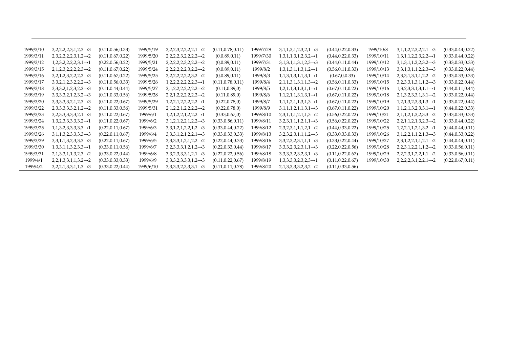| 1999/3/10 | $3,2,2,2,2,3,1,2,3 \rightarrow 3$ | (0.11, 0.56, 0.33) | 1999/5/19 | $2,2,2,3,2,2,2,2,1 \rightarrow 2$ | (0.11, 0.78, 0.11) | 1999/7/29 | $3,1,1,3,1,2,3,2,1 \rightarrow 3$ | (0.44, 0.22, 0.33) | 1999/10/8  | $3,1,1,2,2,3,2,2,1 \rightarrow 3$ | (0.33, 0.44, 0.22) |
|-----------|-----------------------------------|--------------------|-----------|-----------------------------------|--------------------|-----------|-----------------------------------|--------------------|------------|-----------------------------------|--------------------|
| 1999/3/11 | $2,3,2,2,2,2,3,1,2 \rightarrow 2$ | (0.11, 0.67, 0.22) | 1999/5/20 | $2,2,2,2,3,2,2,2,2 \rightarrow 2$ | (0,0.89,0.11)      | 1999/7/30 | $1,3,1,1,3,1,2,3,2 \rightarrow 1$ | (0.44, 0.22, 0.33) | 1999/10/11 | $1,3,1,1,2,2,3,2,2 \rightarrow 1$ | (0.33, 0.44, 0.22) |
| 1999/3/12 | $1,2,3,2,2,2,2,3,1 \rightarrow 1$ | (0.22, 0.56, 0.22) | 1999/5/21 | $2,2,2,2,2,3,2,2,2 \rightarrow 2$ | (0,0.89,0.11)      | 1999/7/31 | $3,1,3,1,1,3,1,2,3 \rightarrow 3$ | (0.44, 0.11, 0.44) | 1999/10/12 | $3,1,3,1,1,2,2,3,2 \rightarrow 3$ | (0.33, 0.33, 0.33) |
| 1999/3/15 | $2,1,2,3,2,2,2,2,3 \rightarrow 2$ | (0.11, 0.67, 0.22) | 1999/5/24 | $2,2,2,2,2,2,3,2,2 \rightarrow 2$ | (0,0.89,0.11)      | 1999/8/2  | $1,3,1,3,1,1,3,1,2 \rightarrow 1$ | (0.56, 0.11, 0.33) | 1999/10/13 | $3,3,1,3,1,1,2,2,3 \rightarrow 3$ | (0.33, 0.22, 0.44) |
| 1999/3/16 | $3,2,1,2,3,2,2,2,2 \rightarrow 3$ | (0.11, 0.67, 0.22) | 1999/5/25 | $2,2,2,2,2,2,3,2 \rightarrow 2$   | (0,0.89,0.11)      | 1999/8/3  | $1,1,3,1,3,1,1,3,1 \rightarrow 1$ | (0.67, 0.0.33)     | 1999/10/14 | $2,3,3,1,3,1,1,2,2 \rightarrow 2$ | (0.33, 0.33, 0.33) |
| 1999/3/17 | $3,3,2,1,2,3,2,2,2 \rightarrow 3$ | (0.11, 0.56, 0.33) | 1999/5/26 | $1,2,2,2,2,2,2,2,3 \rightarrow 1$ | (0.11, 0.78, 0.11) | 1999/8/4  | $2,1,1,3,1,3,1,1,3 \rightarrow 2$ | (0.56, 0.11, 0.33) | 1999/10/15 | $3,2,3,3,1,3,1,1,2 \rightarrow 3$ | (0.33, 0.22, 0.44) |
| 1999/3/18 | $3,3,3,2,1,2,3,2,2 \rightarrow 3$ | (0.11, 0.44, 0.44) | 1999/5/27 | $2,1,2,2,2,2,2,2,2 \rightarrow 2$ | (0.11, 0.89, 0)    | 1999/8/5  | $1,2,1,1,3,1,3,1,1 \rightarrow 1$ | (0.67, 0.11, 0.22) | 1999/10/16 | $1,3,2,3,3,1,3,1,1 \rightarrow 1$ | (0.44,0.11,0.44)   |
| 1999/3/19 | $3,3,3,3,2,1,2,3,2 \rightarrow 3$ | (0.11, 0.33, 0.56) | 1999/5/28 | $2,2,1,2,2,2,2,2,2 \rightarrow 2$ | (0.11, 0.89, 0)    | 1999/8/6  | $1,1,2,1,1,3,1,3,1 \rightarrow 1$ | (0.67, 0.11, 0.22) | 1999/10/18 | $2,1,3,2,3,3,1,3,1 \rightarrow 2$ | (0.33,0.22,0.44)   |
| 1999/3/20 | $3,3,3,3,3,2,1,2,3 \rightarrow 3$ | (0.11, 0.22, 0.67) | 1999/5/29 | $1,2,2,1,2,2,2,2,2 \rightarrow 1$ | (0.22, 0.78, 0)    | 1999/8/7  | $1,1,1,2,1,1,3,1,3 \rightarrow 1$ | (0.67, 0.11, 0.22) | 1999/10/19 | $1,2,1,3,2,3,3,1,3 \rightarrow 1$ | (0.33, 0.22, 0.44) |
| 1999/3/22 | $2,3,3,3,3,3,2,1,2 \rightarrow 2$ | (0.11, 0.33, 0.56) | 1999/5/31 | $2,1,2,2,1,2,2,2,2 \rightarrow 2$ | (0.22, 0.78, 0)    | 1999/8/9  | $3,1,1,1,2,1,1,3,1 \rightarrow 3$ | (0.67, 0.11, 0.22) | 1999/10/20 | $1,1,2,1,3,2,3,3,1 \rightarrow 1$ | (0.44, 0.22, 0.33) |
| 1999/3/23 | $3,2,3,3,3,3,3,2,1 \rightarrow 3$ | (0.11, 0.22, 0.67) | 1999/6/1  | $1,2,1,2,2,1,2,2,2 \rightarrow 1$ | (0.33, 0.67, 0)    | 1999/8/10 | $2,3,1,1,1,2,1,1,3 \rightarrow 2$ | (0.56, 0.22, 0.22) | 1999/10/21 | $2,1,1,2,1,3,2,3,3 \rightarrow 2$ | (0.33, 0.33, 0.33) |
| 1999/3/24 | $1,3,2,3,3,3,3,3,2 \rightarrow 1$ | (0.11, 0.22, 0.67) | 1999/6/2  | $3,1,2,1,2,2,1,2,2 \rightarrow 3$ | (0.33, 0.56, 0.11) | 1999/8/11 | $3,2,3,1,1,1,2,1,1 \rightarrow 3$ | (0.56, 0.22, 0.22) | 1999/10/22 | $2,2,1,1,2,1,3,2,3 \rightarrow 2$ | (0.33, 0.44, 0.22) |
| 1999/3/25 | $1,1,3,2,3,3,3,3,3 \rightarrow 1$ | (0.22, 0.11, 0.67) | 1999/6/3  | $3,3,1,2,1,2,2,1,2 \rightarrow 3$ | (0.33, 0.44, 0.22) | 1999/8/12 | $2,3,2,3,1,1,1,2,1 \rightarrow 2$ | (0.44, 0.33, 0.22) | 1999/10/25 | $1,2,2,1,1,2,1,3,2 \rightarrow 1$ | (0.44, 0.44, 0.11) |
| 1999/3/26 | $3,1,1,3,2,3,3,3,3 \rightarrow 3$ | (0.22, 0.11, 0.67) | 1999/6/4  | $3,3,3,1,2,1,2,2,1 \rightarrow 3$ | (0.33, 0.33, 0.33) | 1999/8/13 | $3,2,3,2,3,1,1,1,2 \rightarrow 3$ | (0.33, 0.33, 0.33) | 1999/10/26 | $3,1,2,2,1,1,2,1,3 \rightarrow 3$ | (0.44, 0.33, 0.22) |
| 1999/3/29 | $3,3,1,1,3,2,3,3,3 \rightarrow 3$ | (0.22, 0.11, 0.67) | 1999/6/5  | $2,3,3,3,1,2,1,2,2 \rightarrow 2$ | (0.22, 0.44, 0.33) | 1999/8/16 | $3,3,2,3,2,3,1,1,1 \rightarrow 3$ | (0.33, 0.22, 0.44) | 1999/10/27 | $2,3,1,2,2,1,1,2,1 \rightarrow 2$ | (0.44, 0.44, 0.11) |
| 1999/3/30 | $1,3,3,1,1,3,2,3,3 \rightarrow 1$ | (0.33, 0.11, 0.56) | 1999/6/7  | $3,2,3,3,3,1,2,1,2 \rightarrow 3$ | (0.22, 0.33, 0.44) | 1999/8/17 | $3,3,3,2,3,2,3,1,1 \rightarrow 3$ | (0.22, 0.22, 0.56) | 1999/10/28 | $2,2,3,1,2,2,1,1,2 \rightarrow 2$ | (0.33, 0.56, 0.11) |
| 1999/3/31 | $2,1,3,3,1,1,3,2,3 \rightarrow 2$ | (0.33, 0.22, 0.44) | 1999/6/8  | $3,3,2,3,3,3,1,2,1 \rightarrow 3$ | (0.22, 0.22, 0.56) | 1999/8/18 | $3,3,3,3,2,3,2,3,1 \rightarrow 3$ | (0.11, 0.22, 0.67) | 1999/10/29 | $2,2,2,3,1,2,2,1,1 \rightarrow 2$ | (0.33, 0.56, 0.11) |
| 1999/4/1  | $2,2,1,3,3,1,1,3,2 \rightarrow 2$ | (0.33, 0.33, 0.33) | 1999/6/9  | $3,3,3,2,3,3,3,1,2 \rightarrow 3$ | (0.11, 0.22, 0.67) | 1999/8/19 | $1,3,3,3,3,2,3,2,3 \rightarrow 1$ | (0.11, 0.22, 0.67) | 1999/10/30 | $2,2,2,2,3,1,2,2,1 \rightarrow 2$ | (0.22, 0.67, 0.11) |
| 1999/4/2  | $3,2,2,1,3,3,1,1,3 \rightarrow 3$ | (0.33, 0.22, 0.44) | 1999/6/10 | $3,3,3,3,2,3,3,3,1 \rightarrow 3$ | (0.11, 0.11, 0.78) | 1999/8/20 | $2,1,3,3,3,3,2,3,2 \rightarrow 2$ | (0.11, 0.33, 0.56) |            |                                   |                    |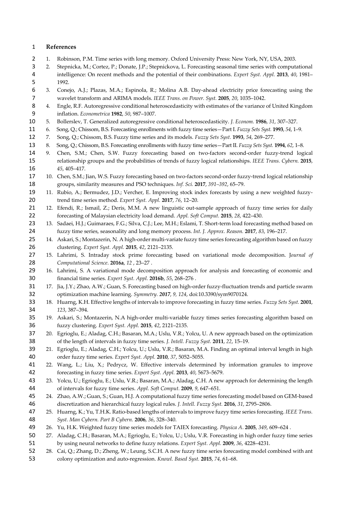# **References**

- 1. Robinson, P.M. Time series with long memory. Oxford University Press: New York, NY, USA, 2003.
- 2. Stepnicka, M.; Cortez, P.; Donate, J.P.; Stepnickova, L. Forecasting seasonal time series with computational intelligence: On recent methods and the potential of their combinations. *Expert Syst. Appl.* **2013**, *40*, 1981– 1992.
- 3. Conejo, A.J.; Plazas, M.A.; Espinola, R.; Molina A.B. Day-ahead electricity price forecasting using the wavelet transform and ARIMA models. *IEEE Trans. on Power. Syst.* **2005**, *20*, 1035–1042.
- 4. Engle, R.F. Autoregressive conditional heteroscedasticity with estimates of the variance of United Kingdom inflation. *Econometrica* **1982**, *50*, 987–1007.
- 5. Bollerslev, T. Generalized autoregressive conditional heteroscedasticity. *J. Econom.* **1986**, *31*, 307–327.
- 6. Song, Q.; Chissom, B.S. Forecasting enrollments with fuzzy time series—Part I. *Fuzzy Sets Syst.* **1993**, *54*, 1–9.
- 7. Song, Q.; Chissom, B.S. Fuzzy time series and its models. *Fuzzy Sets Syst.* **1993**, *54*, 269–277.
- 8. Song, Q.; Chissom, B.S. Forecasting enrollments with fuzzy time series—Part II. *Fuzzy Sets Syst.* **1994**, *62*, 1–8.
- 9. Chen, S.M.; Chen, S.W. Fuzzy forecasting based on two-factors second-order fuzzy-trend logical relationship groups and the probabilities of trends of fuzzy logical relationships. *IEEE Trans. Cybern.* **2015**, *45*, 405–417.
- 10. Chen, S.M.; Jian, W.S. Fuzzy forecasting based on two-factors second-order fuzzy-trend logical relationship groups, similarity measures and PSO techniques. *Inf. Sci.* **2017**, *391–392*, 65–79.
- 11. Rubio, A.; Bermudez, J.D.; Vercher, E. Improving stock index forecasts by using a new weighted fuzzy-trend time series method. *Expert Syst. Appl.* **2017**, *76*, 12–20.
- 12. Efendi, R.; Ismail, Z.; Deris, M.M. A new linguistic out-sample approach of fuzzy time series for daily forecasting of Malaysian electricity load demand. *Appl. Soft Comput.* **2015**, *28*, 422–430.
- 23 13. Sadaei, H.J.; Guimaraes, F.G.; Silva, C.J.; Lee, M.H.; Eslami, T. Short-term load forecasting method based on fuzzy time series, seasonality and long memory process. *Int. J. Approx. Reason.* **2017**, *83*, 196–217.
- 14. Askari, S.; Montazerin, N. A high-order multi-variate fuzzy time series forecasting algorithm based on fuzzy clustering. *Expert Syst. Appl.* **2015**, *42*, 2121–2135.
- 15. Lahrimi, S. Intraday stock prime forecasting based on variational mode decomposition. J*ournal of Computational Science*. **2016a**, *12* , 23–27 .
- 16. Lahrimi, S. A variational mode decomposition approach for analysis and forecasting of economic and financial time series. *Expert Syst. Appl.* **2016b**, *55*, 268–276 .
- 17. Jia, J.Y.; Zhao, A.W.; Guan, S. Forecasting based on high-order fuzzy-fluctuation trends and particle swarm optimization machine learning. *Symmetry. 2017*, *9, 124*, doi:10.3390/sym9070124.
- 18. Huarng, K.H. Effective lengths of intervals to improve forecasting in fuzzy time series. *Fuzzy Sets Syst.* **2001**, *123*, 387–394.
- 19. Askari, S.; Montazerin, N.A high-order multi-variable fuzzy times series forecasting algorithm based on fuzzy clustering. *Expert Syst. Appl.* **2015**, *42*, 2121–2135.
- 20. Egrioglu, E.; Aladag, C.H.; Basaran, M.A.; Uslu, V.R.; Yolcu, U. A new approach based on the optimization of the length of intervals in fuzzy time series. *J. Intell. Fuzzy Syst.* **2011**, *22*, 15–19.
- 21. Egrioglu, E.; Aladag, C.H.; Yolcu, U.; Uslu, V.R.; Basaran, M.A. Finding an optimal interval length in high order fuzzy time series. *Expert Syst. Appl.* **2010**, *37*, 5052–5055.
- 22. Wang, L.; Liu, X.; Pedrycz, W. Effective intervals determined by information granules to improve forecasting in fuzzy time series. *Expert Syst. Appl.* **2013**, *40*, 5673–5679.
- 23. Yolcu, U.; Egrioglu, E.; Uslu, V.R.; Basaran, M.A.; Aladag, C.H. A new approach for determining the length of intervals for fuzzy time series. *Appl. Soft Comput.* **2009**, *9*, 647–651.
- 24. Zhao, A.W.; Guan, S.; Guan, H.J. A computational fuzzy time series forecasting model based on GEM-based discretization and hierarchical fuzzy logical rules. *J. Intell. Fuzzy Syst.* **2016**, *31*, 2795–2806.
- 25. Huarng, K.; Yu, T.H.K. Ratio-based lengths of intervals to improve fuzyy time series forecasting. *IEEE Trans. Syst. Man Cybern. Part B Cybern.* **2006**, *36*, 328–340.
- 26. Yu, H.K. Weighted fuzzy time series models for TAIEX forecasting. *Physica A*.**2005**, *349*, 609–624 .
- 27. Aladag, C.H.; Basaran, M.A.; Egrioglu, E.; Yolcu, U.; Uslu, V.R. Forecasting in high order fuzzy time series by using neural networks to define fuzzy relations. *Expert Syst. Appl.* **2009**, *36*, 4228–4231.
- 28. Cai, Q.; Zhang, D.; Zheng, W.; Leung, S.C.H. A new fuzzy time series forecasting model combined with ant colony optimization and auto-regression. *Knowl. Based Syst.* **2015**, *74*, 61–68.